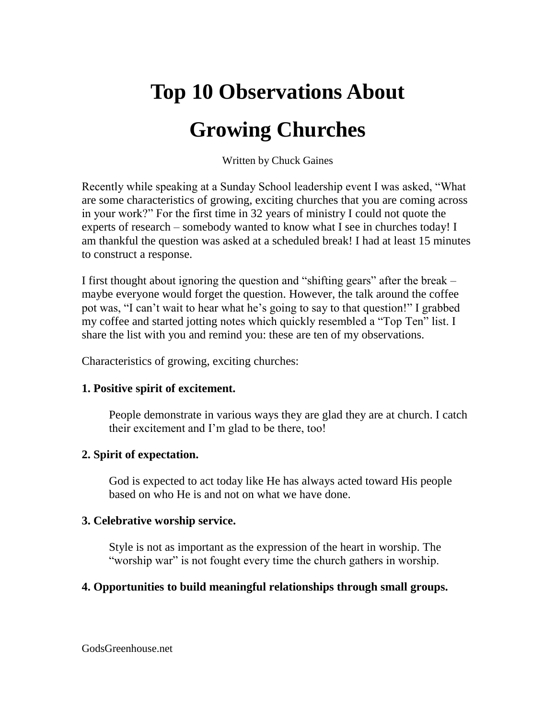# **Top 10 Observations About**

## **Growing Churches**

Written by Chuck Gaines

Recently while speaking at a Sunday School leadership event I was asked, "What are some characteristics of growing, exciting churches that you are coming across in your work?" For the first time in 32 years of ministry I could not quote the experts of research – somebody wanted to know what I see in churches today! I am thankful the question was asked at a scheduled break! I had at least 15 minutes to construct a response.

I first thought about ignoring the question and "shifting gears" after the break – maybe everyone would forget the question. However, the talk around the coffee pot was, "I can't wait to hear what he's going to say to that question!" I grabbed my coffee and started jotting notes which quickly resembled a "Top Ten" list. I share the list with you and remind you: these are ten of my observations.

Characteristics of growing, exciting churches:

### **1. Positive spirit of excitement.**

People demonstrate in various ways they are glad they are at church. I catch their excitement and I'm glad to be there, too!

### **2. Spirit of expectation.**

God is expected to act today like He has always acted toward His people based on who He is and not on what we have done.

#### **3. Celebrative worship service.**

Style is not as important as the expression of the heart in worship. The "worship war" is not fought every time the church gathers in worship.

### **4. Opportunities to build meaningful relationships through small groups.**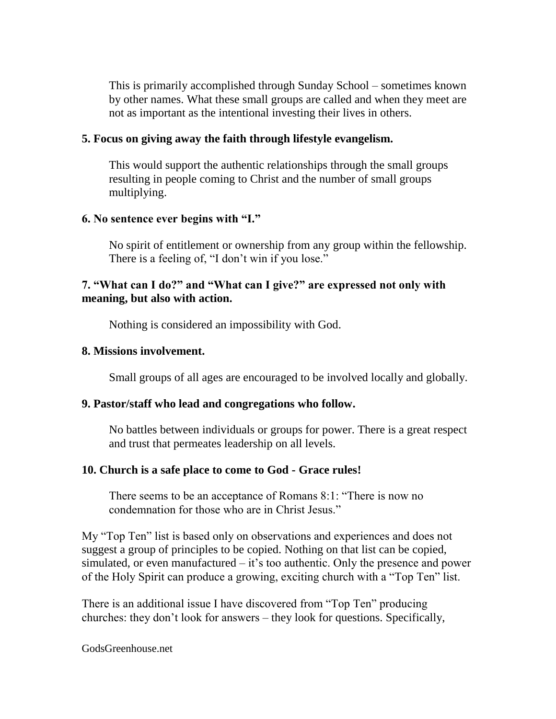This is primarily accomplished through Sunday School – sometimes known by other names. What these small groups are called and when they meet are not as important as the intentional investing their lives in others.

#### **5. Focus on giving away the faith through lifestyle evangelism.**

This would support the authentic relationships through the small groups resulting in people coming to Christ and the number of small groups multiplying.

#### **6. No sentence ever begins with "I."**

No spirit of entitlement or ownership from any group within the fellowship. There is a feeling of, "I don't win if you lose."

#### **7. "What can I do?" and "What can I give?" are expressed not only with meaning, but also with action.**

Nothing is considered an impossibility with God.

#### **8. Missions involvement.**

Small groups of all ages are encouraged to be involved locally and globally.

### **9. Pastor/staff who lead and congregations who follow.**

No battles between individuals or groups for power. There is a great respect and trust that permeates leadership on all levels.

### **10. Church is a safe place to come to God - Grace rules!**

There seems to be an acceptance of Romans 8:1: "There is now no condemnation for those who are in Christ Jesus."

My "Top Ten" list is based only on observations and experiences and does not suggest a group of principles to be copied. Nothing on that list can be copied, simulated, or even manufactured  $-$  it's too authentic. Only the presence and power of the Holy Spirit can produce a growing, exciting church with a "Top Ten" list.

There is an additional issue I have discovered from "Top Ten" producing churches: they don't look for answers – they look for questions. Specifically,

#### GodsGreenhouse.net